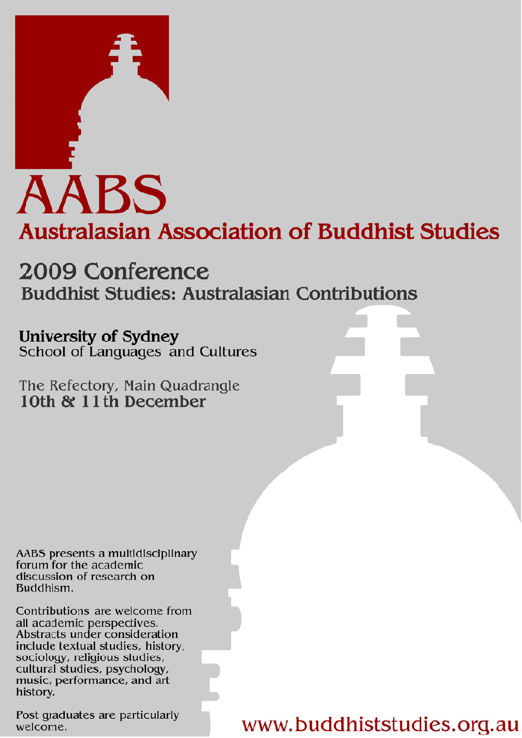

# 2009 Conference **Buddhist Studies: Australasian Contributions**

University of Sydney School of Languages and Cultures

The Refectory, Main Quadrangle 10th & 11th December

AABS presents a multidisciplinary forum for the academic discussion of research on Buddhism.

Contributions are welcome from all academic perspectives. Abstracts under consideration include textual studies, history, sociology, religious studies, cultural studies, psychology, music, performance, and art history.

Post graduates are particularly welcome.

www.buddhiststudies.org.au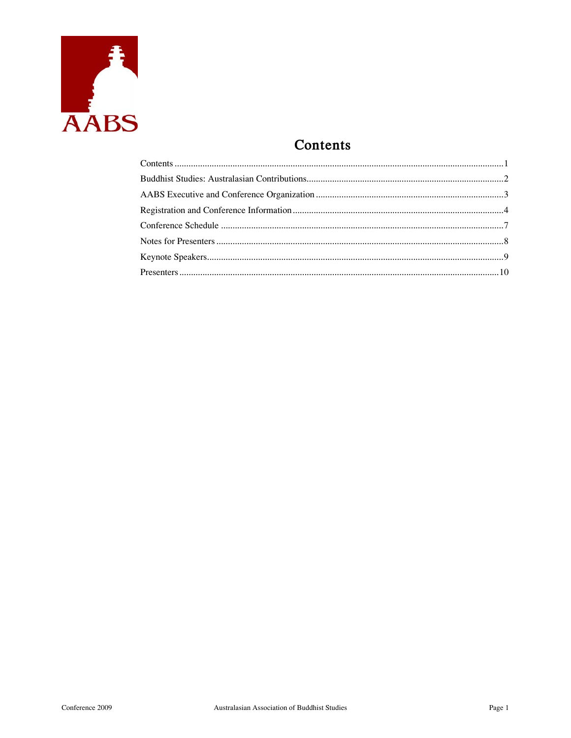

# Contents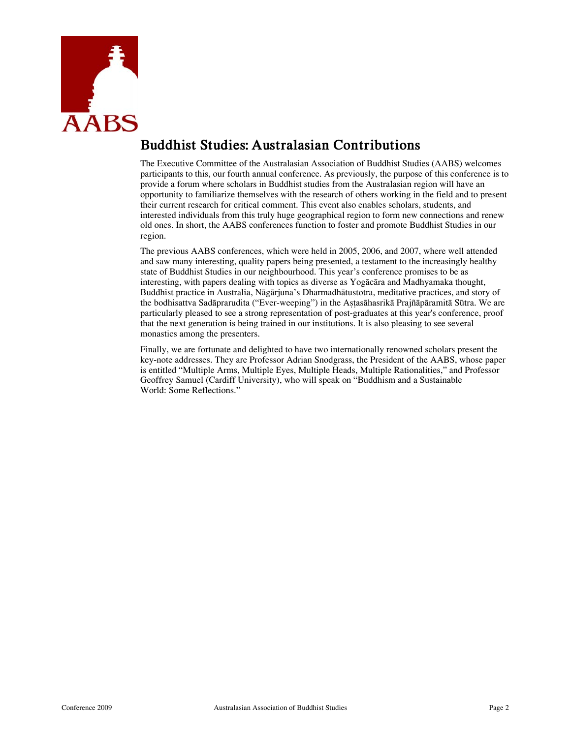

# **Buddhist Studies: Australasian Contributions**

The Executive Committee of the Australasian Association of Buddhist Studies (AABS) welcomes participants to this, our fourth annual conference. As previously, the purpose of this conference is to provide a forum where scholars in Buddhist studies from the Australasian region will have an opportunity to familiarize themselves with the research of others working in the field and to present their current research for critical comment. This event also enables scholars, students, and interested individuals from this truly huge geographical region to form new connections and renew old ones. In short, the AABS conferences function to foster and promote Buddhist Studies in our region.

The previous AABS conferences, which were held in 2005, 2006, and 2007, where well attended and saw many interesting, quality papers being presented, a testament to the increasingly healthy state of Buddhist Studies in our neighbourhood. This year's conference promises to be as interesting, with papers dealing with topics as diverse as Yogācāra and Madhyamaka thought, Buddhist practice in Australia, Nāgārjuna's Dharmadhātustotra, meditative practices, and story of the bodhisattva Sadāprarudita ("Ever-weeping") in the Astasāhasrikā Prajñāpāramitā Sūtra. We are particularly pleased to see a strong representation of post-graduates at this year's conference, proof that the next generation is being trained in our institutions. It is also pleasing to see several monastics among the presenters.

Finally, we are fortunate and delighted to have two internationally renowned scholars present the key-note addresses. They are Professor Adrian Snodgrass, the President of the AABS, whose paper is entitled "Multiple Arms, Multiple Eyes, Multiple Heads, Multiple Rationalities," and Professor Geoffrey Samuel (Cardiff University), who will speak on "Buddhism and a Sustainable World: Some Reflections."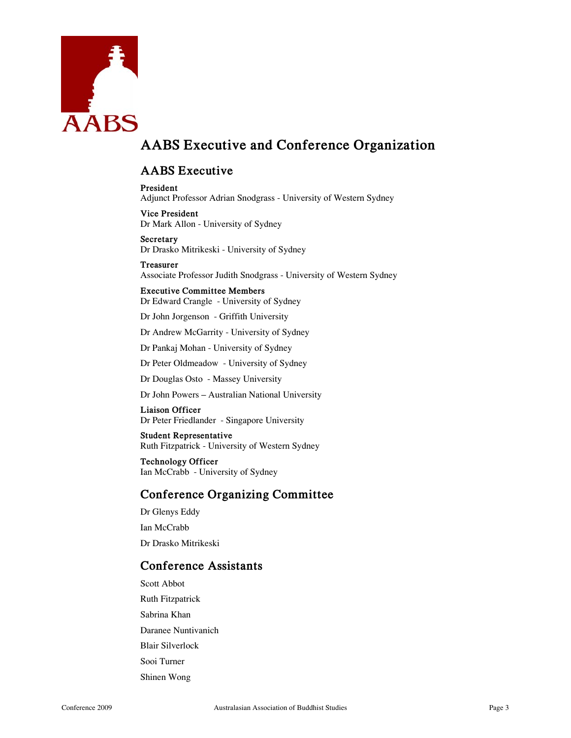

# **AABS Executive and Conference Organization**

### **AABS Executive**

**President**  Adjunct Professor Adrian Snodgrass - University of Western Sydney

**Vice President**  Dr Mark Allon - University of Sydney

**Secretary**  Dr Drasko Mitrikeski - University of Sydney

**Treasurer**  Associate Professor Judith Snodgrass - University of Western Sydney

**Executive Committee Members**  Dr Edward Crangle - University of Sydney

Dr John Jorgenson - Griffith University

Dr Andrew McGarrity - University of Sydney

Dr Pankaj Mohan - University of Sydney

Dr Peter Oldmeadow - University of Sydney

Dr Douglas Osto - Massey University

Dr John Powers – Australian National University

**Liaison Officer**  Dr Peter Friedlander - Singapore University

**Student Representative**  Ruth Fitzpatrick - University of Western Sydney

**Technology Officer**  Ian McCrabb - University of Sydney

### **Conference Organizing Committee**

Dr Glenys Eddy Ian McCrabb

Dr Drasko Mitrikeski

### **Conference Assistants**

Scott Abbot Ruth Fitzpatrick Sabrina Khan Daranee Nuntivanich Blair Silverlock Sooi Turner Shinen Wong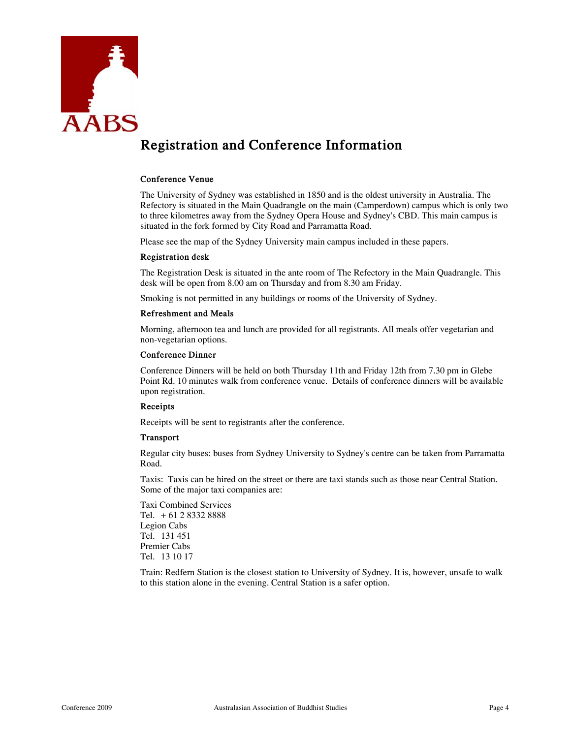

# **Registration and Conference Information**

#### **Conference Venue**

The University of Sydney was established in 1850 and is the oldest university in Australia. The Refectory is situated in the Main Quadrangle on the main (Camperdown) campus which is only two to three kilometres away from the Sydney Opera House and Sydney's CBD. This main campus is situated in the fork formed by City Road and Parramatta Road.

Please see the map of the Sydney University main campus included in these papers.

#### **Registration desk**

The Registration Desk is situated in the ante room of The Refectory in the Main Quadrangle. This desk will be open from 8.00 am on Thursday and from 8.30 am Friday.

Smoking is not permitted in any buildings or rooms of the University of Sydney.

#### **Refreshment and Meals**

Morning, afternoon tea and lunch are provided for all registrants. All meals offer vegetarian and non-vegetarian options.

#### **Conference Dinner**

Conference Dinners will be held on both Thursday 11th and Friday 12th from 7.30 pm in Glebe Point Rd. 10 minutes walk from conference venue. Details of conference dinners will be available upon registration.

#### **Receipts**

Receipts will be sent to registrants after the conference.

#### **Transport**

Regular city buses: buses from Sydney University to Sydney's centre can be taken from Parramatta Road.

Taxis: Taxis can be hired on the street or there are taxi stands such as those near Central Station. Some of the major taxi companies are:

Taxi Combined Services Tel. + 61 2 8332 8888 Legion Cabs Tel. 131 451 Premier Cabs Tel. 13 10 17

Train: Redfern Station is the closest station to University of Sydney. It is, however, unsafe to walk to this station alone in the evening. Central Station is a safer option.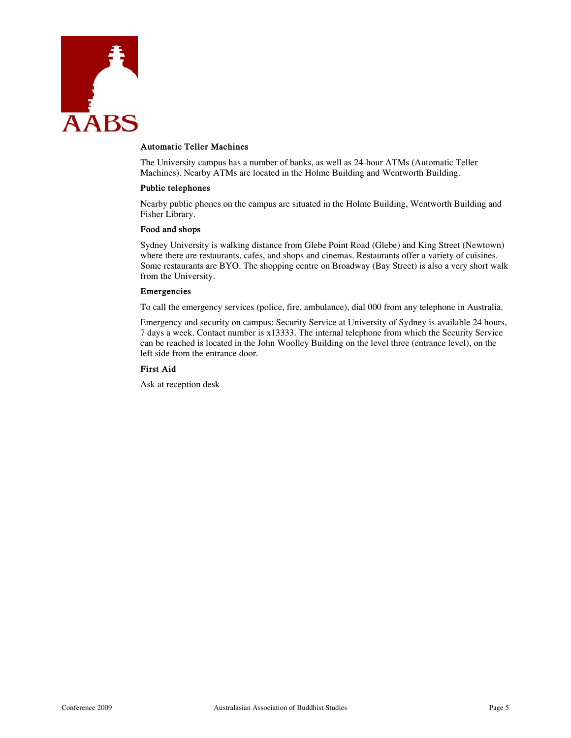

#### **Automatic Teller Machines**

The University campus has a number of banks, as well as 24-hour ATMs (Automatic Teller Machines). Nearby ATMs are located in the Holme Building and Wentworth Building.

#### **Public telephones**

Nearby public phones on the campus are situated in the Holme Building, Wentworth Building and Fisher Library.

#### **Food and shops**

Sydney University is walking distance from Glebe Point Road (Glebe) and King Street (Newtown) where there are restaurants, cafes, and shops and cinemas. Restaurants offer a variety of cuisines. Some restaurants are BYO. The shopping centre on Broadway (Bay Street) is also a very short walk from the University.

### **Emergencies**

To call the emergency services (police, fire, ambulance), dial 000 from any telephone in Australia.

Emergency and security on campus: Security Service at University of Sydney is available 24 hours, 7 days a week. Contact number is x13333. The internal telephone from which the Security Service can be reached is located in the John Woolley Building on the level three (entrance level), on the left side from the entrance door.

### **First Aid**

Ask at reception desk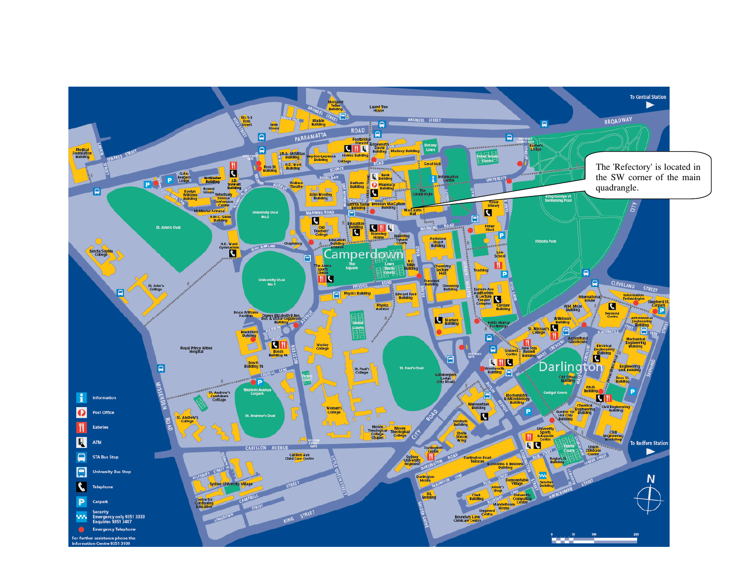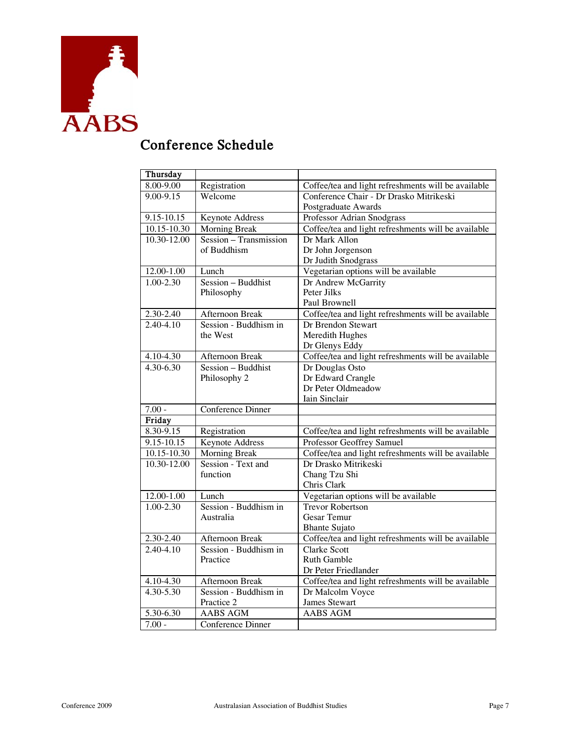

# **Conference Schedule**

| Thursday                       |                                |                                                                             |
|--------------------------------|--------------------------------|-----------------------------------------------------------------------------|
| 8.00-9.00                      | Registration                   | Coffee/tea and light refreshments will be available                         |
| 9.00-9.15                      | Welcome                        | Conference Chair - Dr Drasko Mitrikeski                                     |
|                                |                                | Postgraduate Awards                                                         |
| 9.15-10.15                     | <b>Keynote Address</b>         | Professor Adrian Snodgrass                                                  |
| 10.15-10.30                    | <b>Morning Break</b>           | Coffee/tea and light refreshments will be available                         |
| 10.30-12.00                    | Session - Transmission         | Dr Mark Allon                                                               |
|                                | of Buddhism                    | Dr John Jorgenson                                                           |
|                                |                                | Dr Judith Snodgrass                                                         |
| 12.00-1.00                     | Lunch                          | Vegetarian options will be available                                        |
| $1.00 - 2.30$                  | Session - Buddhist             | Dr Andrew McGarrity                                                         |
|                                | Philosophy                     | Peter Jilks                                                                 |
|                                |                                | Paul Brownell                                                               |
| 2.30-2.40                      | Afternoon Break                | Coffee/tea and light refreshments will be available                         |
| $2.40 - 4.10$                  | Session - Buddhism in          | Dr Brendon Stewart                                                          |
|                                | the West                       | Meredith Hughes                                                             |
|                                |                                | Dr Glenys Eddy                                                              |
| 4.10-4.30                      | Afternoon Break                | Coffee/tea and light refreshments will be available                         |
| $4.30 - 6.30$                  | Session - Buddhist             | Dr Douglas Osto                                                             |
|                                | Philosophy 2                   | Dr Edward Crangle                                                           |
|                                |                                | Dr Peter Oldmeadow                                                          |
|                                |                                | Iain Sinclair                                                               |
| $7.00 -$                       | Conference Dinner              |                                                                             |
| Friday                         |                                |                                                                             |
| $8.\overline{30-9.15}$         | Registration                   | Coffee/tea and light refreshments will be available                         |
| 9.15-10.15                     | <b>Keynote Address</b>         | Professor Geoffrey Samuel                                                   |
| $10.15 - 10.30$                | <b>Morning Break</b>           | Coffee/tea and light refreshments will be available                         |
| 10.30-12.00                    | Session - Text and             | Dr Drasko Mitrikeski                                                        |
|                                | function                       | Chang Tzu Shi                                                               |
|                                |                                | Chris Clark                                                                 |
| 12.00-1.00                     | Lunch<br>Session - Buddhism in | Vegetarian options will be available                                        |
| $1.00 - 2.30$                  |                                | <b>Trevor Robertson</b>                                                     |
|                                | Australia                      | Gesar Temur                                                                 |
|                                | Afternoon Break                | <b>Bhante Sujato</b><br>Coffee/tea and light refreshments will be available |
| $2.30 - 2.40$<br>$2.40 - 4.10$ | Session - Buddhism in          | <b>Clarke Scott</b>                                                         |
|                                |                                | <b>Ruth Gamble</b>                                                          |
|                                | Practice                       | Dr Peter Friedlander                                                        |
|                                | Afternoon Break                |                                                                             |
| 4.10-4.30<br>$4.30 - 5.30$     | Session - Buddhism in          | Coffee/tea and light refreshments will be available<br>Dr Malcolm Voyce     |
|                                | Practice 2                     | <b>James Stewart</b>                                                        |
|                                | <b>AABS AGM</b>                | <b>AABS AGM</b>                                                             |
| 5.30-6.30<br>$7.00 -$          | Conference Dinner              |                                                                             |
|                                |                                |                                                                             |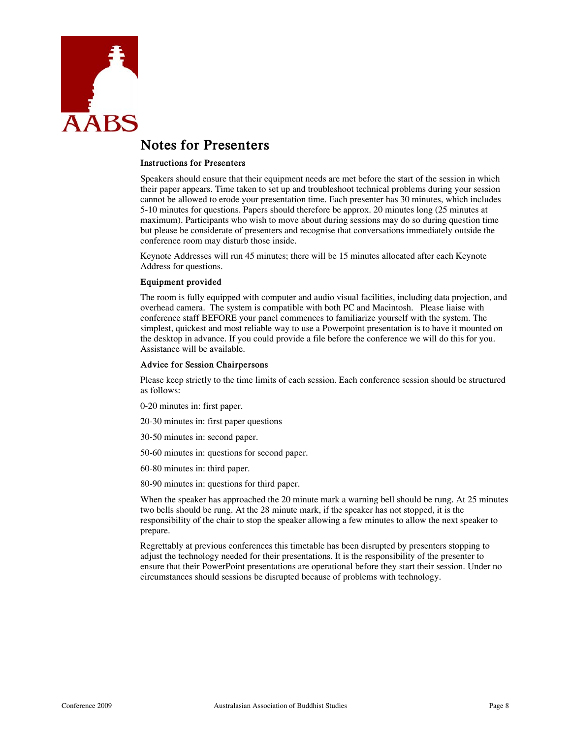

## **Notes for Presenters**

#### **Instructions for Presenters**

Speakers should ensure that their equipment needs are met before the start of the session in which their paper appears. Time taken to set up and troubleshoot technical problems during your session cannot be allowed to erode your presentation time. Each presenter has 30 minutes, which includes 5-10 minutes for questions. Papers should therefore be approx. 20 minutes long (25 minutes at maximum). Participants who wish to move about during sessions may do so during question time but please be considerate of presenters and recognise that conversations immediately outside the conference room may disturb those inside.

Keynote Addresses will run 45 minutes; there will be 15 minutes allocated after each Keynote Address for questions.

#### **Equipment provided**

The room is fully equipped with computer and audio visual facilities, including data projection, and overhead camera. The system is compatible with both PC and Macintosh. Please liaise with conference staff BEFORE your panel commences to familiarize yourself with the system. The simplest, quickest and most reliable way to use a Powerpoint presentation is to have it mounted on the desktop in advance. If you could provide a file before the conference we will do this for you. Assistance will be available.

#### **Advice for Session Chairpersons**

Please keep strictly to the time limits of each session. Each conference session should be structured as follows:

0-20 minutes in: first paper.

20-30 minutes in: first paper questions

30-50 minutes in: second paper.

50-60 minutes in: questions for second paper.

60-80 minutes in: third paper.

80-90 minutes in: questions for third paper.

When the speaker has approached the 20 minute mark a warning bell should be rung. At 25 minutes two bells should be rung. At the 28 minute mark, if the speaker has not stopped, it is the responsibility of the chair to stop the speaker allowing a few minutes to allow the next speaker to prepare.

Regrettably at previous conferences this timetable has been disrupted by presenters stopping to adjust the technology needed for their presentations. It is the responsibility of the presenter to ensure that their PowerPoint presentations are operational before they start their session. Under no circumstances should sessions be disrupted because of problems with technology.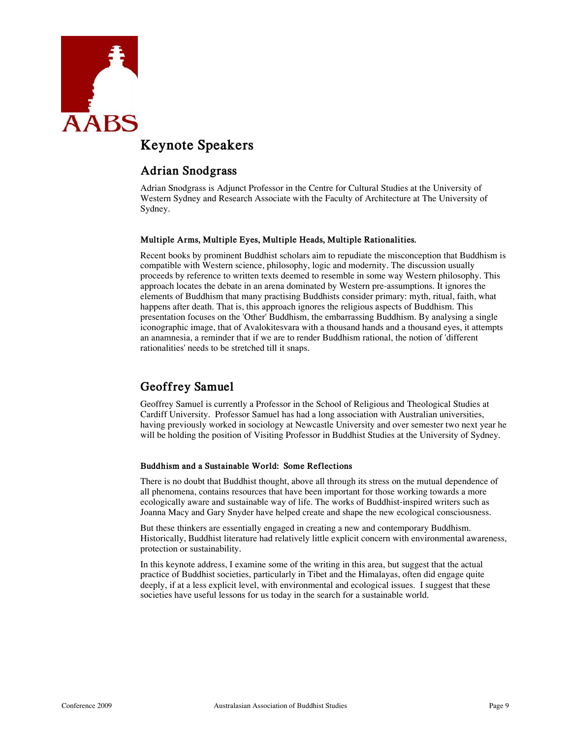

# **Keynote Speakers**

### **Adrian Snodgrass**

Adrian Snodgrass is Adjunct Professor in the Centre for Cultural Studies at the University of Western Sydney and Research Associate with the Faculty of Architecture at The University of Sydney.

### **Multiple Arms, Multiple Eyes, Multiple Heads, Multiple Rationalities.**

Recent books by prominent Buddhist scholars aim to repudiate the misconception that Buddhism is compatible with Western science, philosophy, logic and modernity. The discussion usually proceeds by reference to written texts deemed to resemble in some way Western philosophy. This approach locates the debate in an arena dominated by Western pre-assumptions. It ignores the elements of Buddhism that many practising Buddhists consider primary: myth, ritual, faith, what happens after death. That is, this approach ignores the religious aspects of Buddhism. This presentation focuses on the 'Other' Buddhism, the embarrassing Buddhism. By analysing a single iconographic image, that of Avalokitesvara with a thousand hands and a thousand eyes, it attempts an anamnesia, a reminder that if we are to render Buddhism rational, the notion of 'different rationalities' needs to be stretched till it snaps.

### **Geoffrey Samuel**

Geoffrey Samuel is currently a Professor in the School of Religious and Theological Studies at Cardiff University. Professor Samuel has had a long association with Australian universities, having previously worked in sociology at Newcastle University and over semester two next year he will be holding the position of Visiting Professor in Buddhist Studies at the University of Sydney.

### **Buddhism and a Sustainable World: Some Reflections**

There is no doubt that Buddhist thought, above all through its stress on the mutual dependence of all phenomena, contains resources that have been important for those working towards a more ecologically aware and sustainable way of life. The works of Buddhist-inspired writers such as Joanna Macy and Gary Snyder have helped create and shape the new ecological consciousness.

But these thinkers are essentially engaged in creating a new and contemporary Buddhism. Historically, Buddhist literature had relatively little explicit concern with environmental awareness, protection or sustainability.

In this keynote address, I examine some of the writing in this area, but suggest that the actual practice of Buddhist societies, particularly in Tibet and the Himalayas, often did engage quite deeply, if at a less explicit level, with environmental and ecological issues. I suggest that these societies have useful lessons for us today in the search for a sustainable world.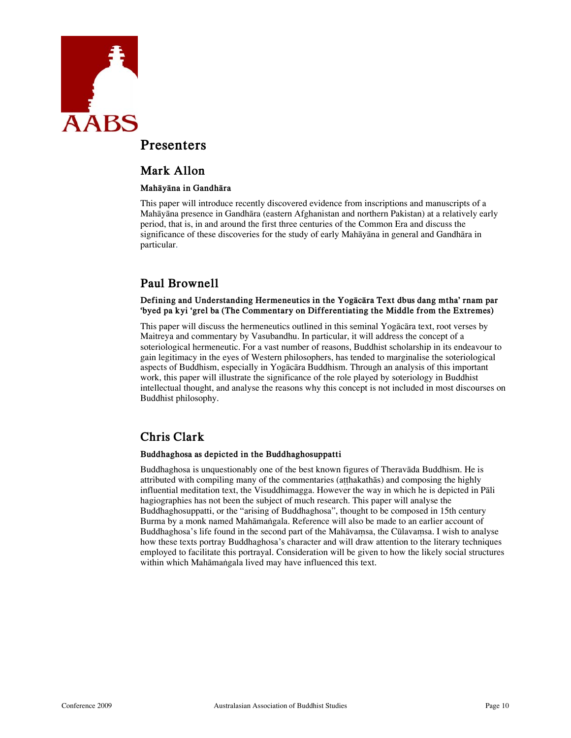

### **Presenters**

### **Mark Allon**

### **Mahāyāna in Gandhāra**

This paper will introduce recently discovered evidence from inscriptions and manuscripts of a Mahāyāna presence in Gandhāra (eastern Afghanistan and northern Pakistan) at a relatively early period, that is, in and around the first three centuries of the Common Era and discuss the significance of these discoveries for the study of early Mahāyāna in general and Gandhāra in particular.

### **Paul Brownell**

### **Defining and Understanding Hermeneutics in the Yogācāra Text dbus dang mtha' rnam par 'byed pa kyi 'grel ba (The Commentary on Differentiating the Middle from the Extremes)**

This paper will discuss the hermeneutics outlined in this seminal Yogācāra text, root verses by Maitreya and commentary by Vasubandhu. In particular, it will address the concept of a soteriological hermeneutic. For a vast number of reasons, Buddhist scholarship in its endeavour to gain legitimacy in the eyes of Western philosophers, has tended to marginalise the soteriological aspects of Buddhism, especially in Yogācāra Buddhism. Through an analysis of this important work, this paper will illustrate the significance of the role played by soteriology in Buddhist intellectual thought, and analyse the reasons why this concept is not included in most discourses on Buddhist philosophy.

### **Chris Clark**

### **Buddhaghosa as depicted in the Buddhaghosuppatti**

Buddhaghosa is unquestionably one of the best known figures of Theravāda Buddhism. He is attributed with compiling many of the commentaries (aṭṭhakathās) and composing the highly influential meditation text, the Visuddhimagga. However the way in which he is depicted in Pāli hagiographies has not been the subject of much research. This paper will analyse the Buddhaghosuppatti, or the "arising of Buddhaghosa", thought to be composed in 15th century Burma by a monk named Mahāmaṅgala. Reference will also be made to an earlier account of Buddhaghosa's life found in the second part of the Mahāvaṃsa, the Cūlavaṃsa. I wish to analyse how these texts portray Buddhaghosa's character and will draw attention to the literary techniques employed to facilitate this portrayal. Consideration will be given to how the likely social structures within which Mahāmaṅgala lived may have influenced this text.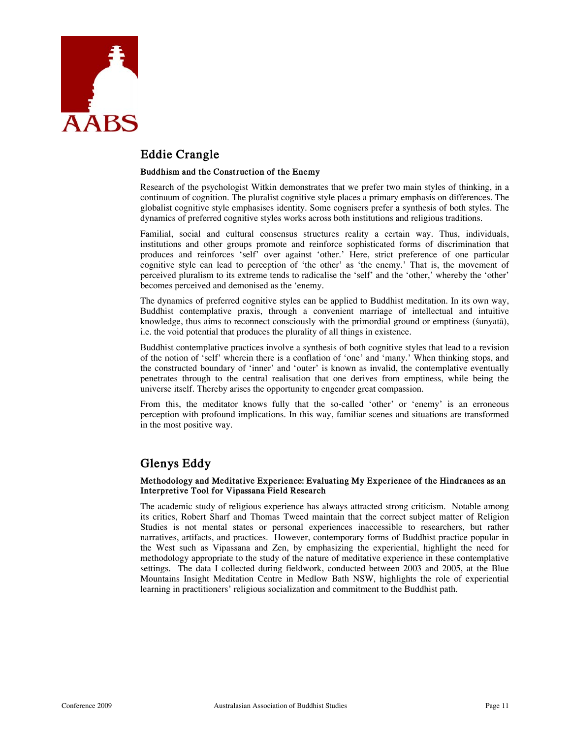

### **Eddie Crangle**

### **Buddhism and the Construction of the Enemy**

Research of the psychologist Witkin demonstrates that we prefer two main styles of thinking, in a continuum of cognition. The pluralist cognitive style places a primary emphasis on differences. The globalist cognitive style emphasises identity. Some cognisers prefer a synthesis of both styles. The dynamics of preferred cognitive styles works across both institutions and religious traditions.

Familial, social and cultural consensus structures reality a certain way. Thus, individuals, institutions and other groups promote and reinforce sophisticated forms of discrimination that produces and reinforces 'self' over against 'other.' Here, strict preference of one particular cognitive style can lead to perception of 'the other' as 'the enemy.' That is, the movement of perceived pluralism to its extreme tends to radicalise the 'self' and the 'other,' whereby the 'other' becomes perceived and demonised as the 'enemy.

The dynamics of preferred cognitive styles can be applied to Buddhist meditation. In its own way, Buddhist contemplative praxis, through a convenient marriage of intellectual and intuitive knowledge, thus aims to reconnect consciously with the primordial ground or emptiness (śunyatā), i.e. the void potential that produces the plurality of all things in existence.

Buddhist contemplative practices involve a synthesis of both cognitive styles that lead to a revision of the notion of 'self' wherein there is a conflation of 'one' and 'many.' When thinking stops, and the constructed boundary of 'inner' and 'outer' is known as invalid, the contemplative eventually penetrates through to the central realisation that one derives from emptiness, while being the universe itself. Thereby arises the opportunity to engender great compassion.

From this, the meditator knows fully that the so-called 'other' or 'enemy' is an erroneous perception with profound implications. In this way, familiar scenes and situations are transformed in the most positive way.

### **Glenys Eddy**

#### **Methodology and Meditative Experience: Evaluating My Experience of the Hindrances as an Interpretive Tool for Vipassana Field Research**

The academic study of religious experience has always attracted strong criticism. Notable among its critics, Robert Sharf and Thomas Tweed maintain that the correct subject matter of Religion Studies is not mental states or personal experiences inaccessible to researchers, but rather narratives, artifacts, and practices. However, contemporary forms of Buddhist practice popular in the West such as Vipassana and Zen, by emphasizing the experiential, highlight the need for methodology appropriate to the study of the nature of meditative experience in these contemplative settings. The data I collected during fieldwork, conducted between 2003 and 2005, at the Blue Mountains Insight Meditation Centre in Medlow Bath NSW, highlights the role of experiential learning in practitioners' religious socialization and commitment to the Buddhist path.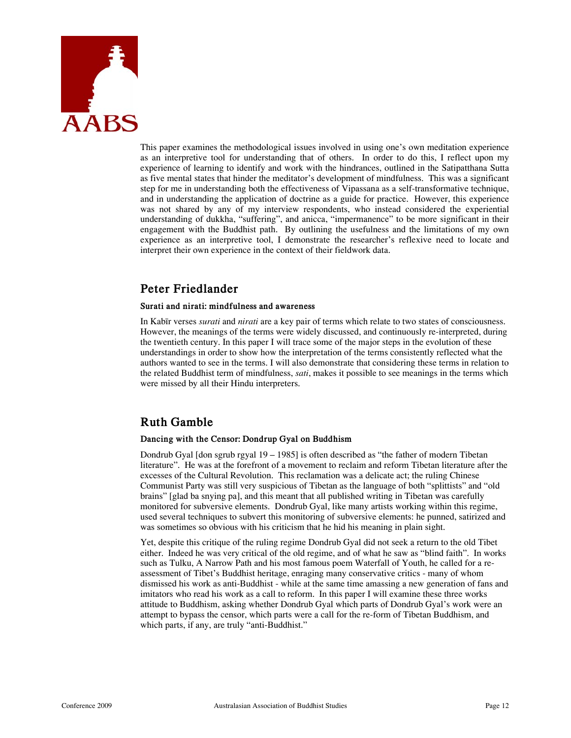

This paper examines the methodological issues involved in using one's own meditation experience as an interpretive tool for understanding that of others. In order to do this, I reflect upon my experience of learning to identify and work with the hindrances, outlined in the Satipatthana Sutta as five mental states that hinder the meditator's development of mindfulness. This was a significant step for me in understanding both the effectiveness of Vipassana as a self-transformative technique, and in understanding the application of doctrine as a guide for practice. However, this experience was not shared by any of my interview respondents, who instead considered the experiential understanding of dukkha, "suffering", and anicca, "impermanence" to be more significant in their engagement with the Buddhist path. By outlining the usefulness and the limitations of my own experience as an interpretive tool, I demonstrate the researcher's reflexive need to locate and interpret their own experience in the context of their fieldwork data.

### **Peter Friedlander**

### **Surati and nirati: mindfulness and awareness**

In Kabīr verses *surati* and *nirati* are a key pair of terms which relate to two states of consciousness. However, the meanings of the terms were widely discussed, and continuously re-interpreted, during the twentieth century. In this paper I will trace some of the major steps in the evolution of these understandings in order to show how the interpretation of the terms consistently reflected what the authors wanted to see in the terms. I will also demonstrate that considering these terms in relation to the related Buddhist term of mindfulness, *sati*, makes it possible to see meanings in the terms which were missed by all their Hindu interpreters.

### **Ruth Gamble**

#### **Dancing with the Censor: Dondrup Gyal on Buddhism**

Dondrub Gyal [don sgrub rgyal 19 – 1985] is often described as "the father of modern Tibetan literature". He was at the forefront of a movement to reclaim and reform Tibetan literature after the excesses of the Cultural Revolution. This reclamation was a delicate act; the ruling Chinese Communist Party was still very suspicious of Tibetan as the language of both "splittists" and "old brains" [glad ba snying pa], and this meant that all published writing in Tibetan was carefully monitored for subversive elements. Dondrub Gyal, like many artists working within this regime, used several techniques to subvert this monitoring of subversive elements: he punned, satirized and was sometimes so obvious with his criticism that he hid his meaning in plain sight.

Yet, despite this critique of the ruling regime Dondrub Gyal did not seek a return to the old Tibet either. Indeed he was very critical of the old regime, and of what he saw as "blind faith". In works such as Tulku, A Narrow Path and his most famous poem Waterfall of Youth, he called for a reassessment of Tibet's Buddhist heritage, enraging many conservative critics - many of whom dismissed his work as anti-Buddhist - while at the same time amassing a new generation of fans and imitators who read his work as a call to reform. In this paper I will examine these three works attitude to Buddhism, asking whether Dondrub Gyal which parts of Dondrub Gyal's work were an attempt to bypass the censor, which parts were a call for the re-form of Tibetan Buddhism, and which parts, if any, are truly "anti-Buddhist."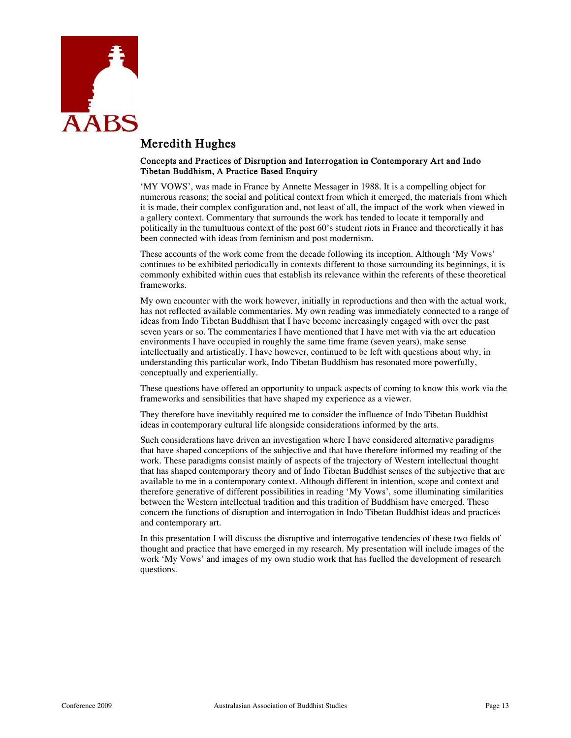

### **Meredith Hughes**

#### **Concepts and Practices of Disruption and Interrogation in Contemporary Art and Indo Tibetan Buddhism, A Practice Based Enquiry**

'MY VOWS', was made in France by Annette Messager in 1988. It is a compelling object for numerous reasons; the social and political context from which it emerged, the materials from which it is made, their complex configuration and, not least of all, the impact of the work when viewed in a gallery context. Commentary that surrounds the work has tended to locate it temporally and politically in the tumultuous context of the post 60's student riots in France and theoretically it has been connected with ideas from feminism and post modernism.

These accounts of the work come from the decade following its inception. Although 'My Vows' continues to be exhibited periodically in contexts different to those surrounding its beginnings, it is commonly exhibited within cues that establish its relevance within the referents of these theoretical frameworks.

My own encounter with the work however, initially in reproductions and then with the actual work, has not reflected available commentaries. My own reading was immediately connected to a range of ideas from Indo Tibetan Buddhism that I have become increasingly engaged with over the past seven years or so. The commentaries I have mentioned that I have met with via the art education environments I have occupied in roughly the same time frame (seven years), make sense intellectually and artistically. I have however, continued to be left with questions about why, in understanding this particular work, Indo Tibetan Buddhism has resonated more powerfully, conceptually and experientially.

These questions have offered an opportunity to unpack aspects of coming to know this work via the frameworks and sensibilities that have shaped my experience as a viewer.

They therefore have inevitably required me to consider the influence of Indo Tibetan Buddhist ideas in contemporary cultural life alongside considerations informed by the arts.

Such considerations have driven an investigation where I have considered alternative paradigms that have shaped conceptions of the subjective and that have therefore informed my reading of the work. These paradigms consist mainly of aspects of the trajectory of Western intellectual thought that has shaped contemporary theory and of Indo Tibetan Buddhist senses of the subjective that are available to me in a contemporary context. Although different in intention, scope and context and therefore generative of different possibilities in reading 'My Vows', some illuminating similarities between the Western intellectual tradition and this tradition of Buddhism have emerged. These concern the functions of disruption and interrogation in Indo Tibetan Buddhist ideas and practices and contemporary art.

In this presentation I will discuss the disruptive and interrogative tendencies of these two fields of thought and practice that have emerged in my research. My presentation will include images of the work 'My Vows' and images of my own studio work that has fuelled the development of research questions.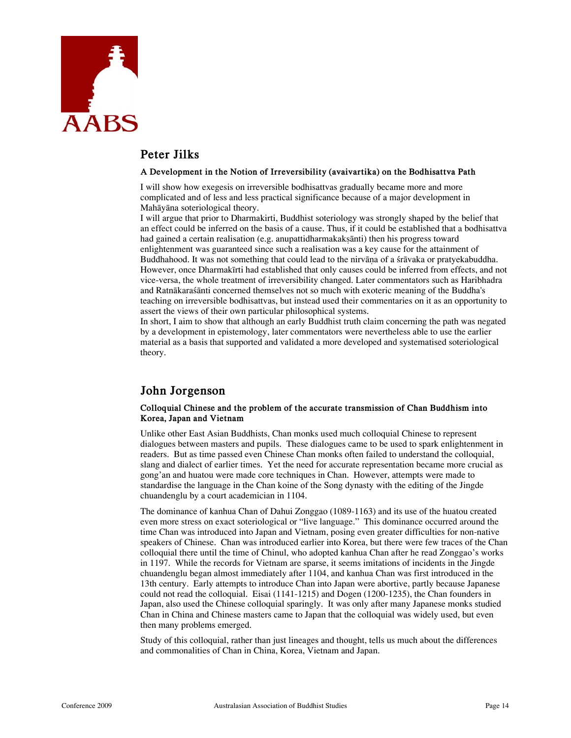

### **Peter Jilks**

### **A Development in the Notion of Irreversibility (avaivartika) on the Bodhisattva Path**

I will show how exegesis on irreversible bodhisattvas gradually became more and more complicated and of less and less practical significance because of a major development in Mahāyāna soteriological theory.

I will argue that prior to Dharmakirti, Buddhist soteriology was strongly shaped by the belief that an effect could be inferred on the basis of a cause. Thus, if it could be established that a bodhisattva had gained a certain realisation (e.g. anupattidharmakakṣānti) then his progress toward enlightenment was guaranteed since such a realisation was a key cause for the attainment of Buddhahood. It was not something that could lead to the nirvāṇa of a śrāvaka or pratyekabuddha. However, once Dharmakīrti had established that only causes could be inferred from effects, and not vice-versa, the whole treatment of irreversibility changed. Later commentators such as Haribhadra and Ratnākaraśānti concerned themselves not so much with exoteric meaning of the Buddha's teaching on irreversible bodhisattvas, but instead used their commentaries on it as an opportunity to assert the views of their own particular philosophical systems.

In short, I aim to show that although an early Buddhist truth claim concerning the path was negated by a development in epistemology, later commentators were nevertheless able to use the earlier material as a basis that supported and validated a more developed and systematised soteriological theory.

### **John Jorgenson**

### **Colloquial Chinese and the problem of the accurate transmission of Chan Buddhism into Korea, Japan and Vietnam**

Unlike other East Asian Buddhists, Chan monks used much colloquial Chinese to represent dialogues between masters and pupils. These dialogues came to be used to spark enlightenment in readers. But as time passed even Chinese Chan monks often failed to understand the colloquial, slang and dialect of earlier times. Yet the need for accurate representation became more crucial as gong'an and huatou were made core techniques in Chan. However, attempts were made to standardise the language in the Chan koine of the Song dynasty with the editing of the Jingde chuandenglu by a court academician in 1104.

The dominance of kanhua Chan of Dahui Zonggao (1089-1163) and its use of the huatou created even more stress on exact soteriological or "live language." This dominance occurred around the time Chan was introduced into Japan and Vietnam, posing even greater difficulties for non-native speakers of Chinese. Chan was introduced earlier into Korea, but there were few traces of the Chan colloquial there until the time of Chinul, who adopted kanhua Chan after he read Zonggao's works in 1197. While the records for Vietnam are sparse, it seems imitations of incidents in the Jingde chuandenglu began almost immediately after 1104, and kanhua Chan was first introduced in the 13th century. Early attempts to introduce Chan into Japan were abortive, partly because Japanese could not read the colloquial. Eisai (1141-1215) and Dogen (1200-1235), the Chan founders in Japan, also used the Chinese colloquial sparingly. It was only after many Japanese monks studied Chan in China and Chinese masters came to Japan that the colloquial was widely used, but even then many problems emerged.

Study of this colloquial, rather than just lineages and thought, tells us much about the differences and commonalities of Chan in China, Korea, Vietnam and Japan.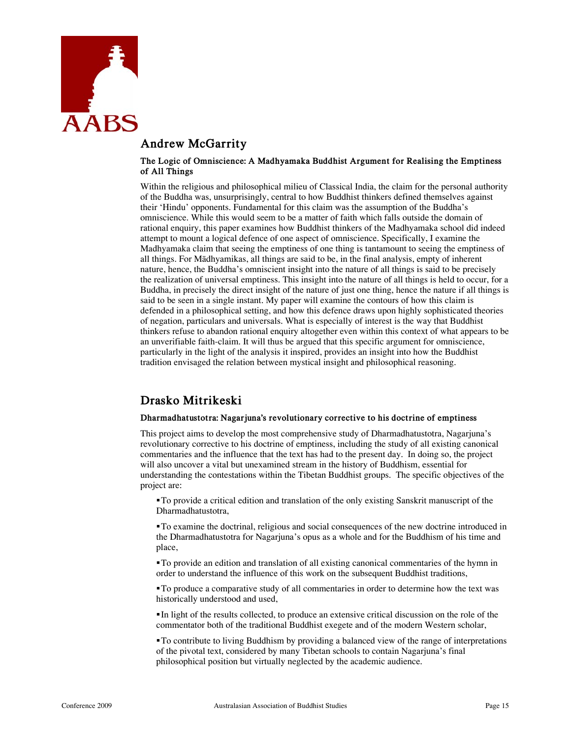

### **Andrew McGarrity**

#### **The Logic of Omniscience: A Madhyamaka Buddhist Argument for Realising the Emptiness of All Things**

Within the religious and philosophical milieu of Classical India, the claim for the personal authority of the Buddha was, unsurprisingly, central to how Buddhist thinkers defined themselves against their 'Hindu' opponents. Fundamental for this claim was the assumption of the Buddha's omniscience. While this would seem to be a matter of faith which falls outside the domain of rational enquiry, this paper examines how Buddhist thinkers of the Madhyamaka school did indeed attempt to mount a logical defence of one aspect of omniscience. Specifically, I examine the Madhyamaka claim that seeing the emptiness of one thing is tantamount to seeing the emptiness of all things. For Mādhyamikas, all things are said to be, in the final analysis, empty of inherent nature, hence, the Buddha's omniscient insight into the nature of all things is said to be precisely the realization of universal emptiness. This insight into the nature of all things is held to occur, for a Buddha, in precisely the direct insight of the nature of just one thing, hence the nature if all things is said to be seen in a single instant. My paper will examine the contours of how this claim is defended in a philosophical setting, and how this defence draws upon highly sophisticated theories of negation, particulars and universals. What is especially of interest is the way that Buddhist thinkers refuse to abandon rational enquiry altogether even within this context of what appears to be an unverifiable faith-claim. It will thus be argued that this specific argument for omniscience, particularly in the light of the analysis it inspired, provides an insight into how the Buddhist tradition envisaged the relation between mystical insight and philosophical reasoning.

### **Drasko Mitrikeski**

### **Dharmadhatustotra: Nagarjuna's revolutionary corrective to his doctrine of emptiness**

This project aims to develop the most comprehensive study of Dharmadhatustotra, Nagarjuna's revolutionary corrective to his doctrine of emptiness, including the study of all existing canonical commentaries and the influence that the text has had to the present day. In doing so, the project will also uncover a vital but unexamined stream in the history of Buddhism, essential for understanding the contestations within the Tibetan Buddhist groups. The specific objectives of the project are:

To provide a critical edition and translation of the only existing Sanskrit manuscript of the Dharmadhatustotra,

To examine the doctrinal, religious and social consequences of the new doctrine introduced in the Dharmadhatustotra for Nagarjuna's opus as a whole and for the Buddhism of his time and place,

To provide an edition and translation of all existing canonical commentaries of the hymn in order to understand the influence of this work on the subsequent Buddhist traditions,

To produce a comparative study of all commentaries in order to determine how the text was historically understood and used,

In light of the results collected, to produce an extensive critical discussion on the role of the commentator both of the traditional Buddhist exegete and of the modern Western scholar,

To contribute to living Buddhism by providing a balanced view of the range of interpretations of the pivotal text, considered by many Tibetan schools to contain Nagarjuna's final philosophical position but virtually neglected by the academic audience.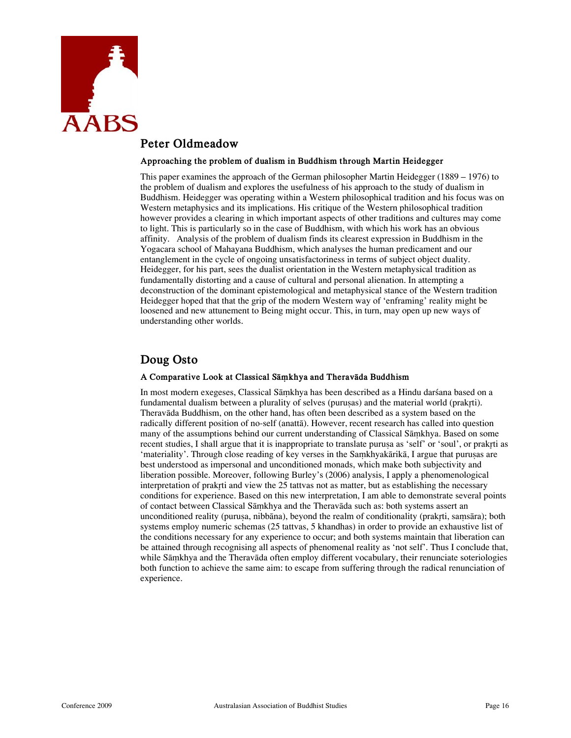

### **Peter Oldmeadow**

#### **Approaching the problem of dualism in Buddhism through Martin Heidegger**

This paper examines the approach of the German philosopher Martin Heidegger (1889 – 1976) to the problem of dualism and explores the usefulness of his approach to the study of dualism in Buddhism. Heidegger was operating within a Western philosophical tradition and his focus was on Western metaphysics and its implications. His critique of the Western philosophical tradition however provides a clearing in which important aspects of other traditions and cultures may come to light. This is particularly so in the case of Buddhism, with which his work has an obvious affinity. Analysis of the problem of dualism finds its clearest expression in Buddhism in the Yogacara school of Mahayana Buddhism, which analyses the human predicament and our entanglement in the cycle of ongoing unsatisfactoriness in terms of subject object duality. Heidegger, for his part, sees the dualist orientation in the Western metaphysical tradition as fundamentally distorting and a cause of cultural and personal alienation. In attempting a deconstruction of the dominant epistemological and metaphysical stance of the Western tradition Heidegger hoped that that the grip of the modern Western way of 'enframing' reality might be loosened and new attunement to Being might occur. This, in turn, may open up new ways of understanding other worlds.

### **Doug Osto**

### **A Comparative Look at Classical Sāṃkhya and Theravāda Buddhism**

In most modern exegeses, Classical Sāṃkhya has been described as a Hindu darśana based on a fundamental dualism between a plurality of selves (purusas) and the material world (prakrti). Theravāda Buddhism, on the other hand, has often been described as a system based on the radically different position of no-self (anattā). However, recent research has called into question many of the assumptions behind our current understanding of Classical Sāṃkhya. Based on some recent studies, I shall argue that it is inappropriate to translate puruṣa as 'self' or 'soul', or prakr̥ti as 'materiality'. Through close reading of key verses in the Saṃkhyakārikā, I argue that puruṣas are best understood as impersonal and unconditioned monads, which make both subjectivity and liberation possible. Moreover, following Burley's (2006) analysis, I apply a phenomenological interpretation of prakrti and view the 25 tattvas not as matter, but as establishing the necessary conditions for experience. Based on this new interpretation, I am able to demonstrate several points of contact between Classical Sāṃkhya and the Theravāda such as: both systems assert an unconditioned reality (purusa, nibbāna), beyond the realm of conditionality (prakrti, samsāra); both systems employ numeric schemas (25 tattvas, 5 khandhas) in order to provide an exhaustive list of the conditions necessary for any experience to occur; and both systems maintain that liberation can be attained through recognising all aspects of phenomenal reality as 'not self'. Thus I conclude that, while Sāṃkhya and the Theravāda often employ different vocabulary, their renunciate soteriologies both function to achieve the same aim: to escape from suffering through the radical renunciation of experience.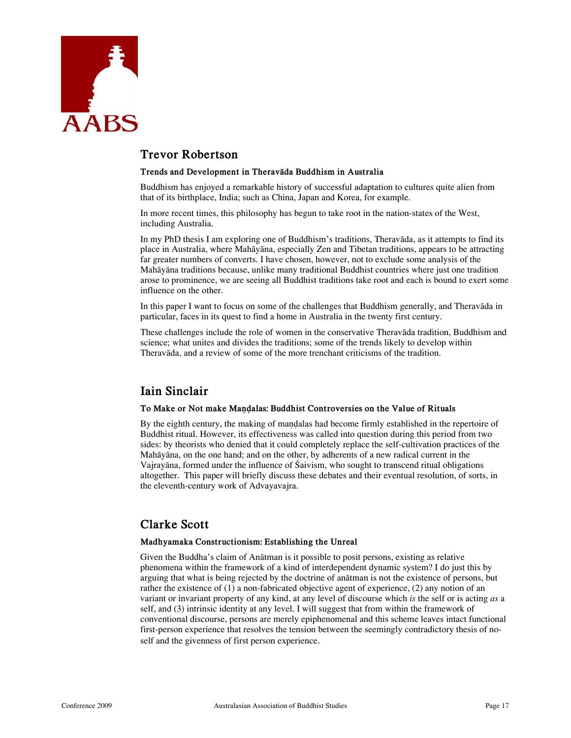

### **Trevor Robertson**

#### **Trends and Development in Theravāda Buddhism in Australia**

Buddhism has enjoyed a remarkable history of successful adaptation to cultures quite alien from that of its birthplace, India; such as China, Japan and Korea, for example.

In more recent times, this philosophy has begun to take root in the nation-states of the West, including Australia.

In my PhD thesis I am exploring one of Buddhism's traditions, Theravāda, as it attempts to find its place in Australia, where Mahāyāna, especially Zen and Tibetan traditions, appears to be attracting far greater numbers of converts. I have chosen, however, not to exclude some analysis of the Mahāyāna traditions because, unlike many traditional Buddhist countries where just one tradition arose to prominence, we are seeing all Buddhist traditions take root and each is bound to exert some influence on the other.

In this paper I want to focus on some of the challenges that Buddhism generally, and Theravāda in particular, faces in its quest to find a home in Australia in the twenty first century.

These challenges include the role of women in the conservative Theravāda tradition, Buddhism and science; what unites and divides the traditions; some of the trends likely to develop within Theravāda, and a review of some of the more trenchant criticisms of the tradition.

### **Iain Sinclair**

#### To Make or Not make Mandalas: Buddhist Controversies on the Value of Rituals

By the eighth century, the making of maṇḍalas had become firmly established in the repertoire of Buddhist ritual. However, its effectiveness was called into question during this period from two sides: by theorists who denied that it could completely replace the self-cultivation practices of the Mahāyāna, on the one hand; and on the other, by adherents of a new radical current in the Vajrayāna, formed under the influence of Śaivism, who sought to transcend ritual obligations altogether. This paper will briefly discuss these debates and their eventual resolution, of sorts, in the eleventh-century work of Advayavajra.

### **Clarke Scott**

#### **Madhyamaka Constructionism: Establishing the Unreal**

Given the Buddha's claim of Anātman is it possible to posit persons, existing as relative phenomena within the framework of a kind of interdependent dynamic system? I do just this by arguing that what is being rejected by the doctrine of anātman is not the existence of persons, but rather the existence of (1) a non-fabricated objective agent of experience, (2) any notion of an variant or invariant property of any kind, at any level of discourse which *is* the self or is acting *as* a self, and (3) intrinsic identity at any level. I will suggest that from within the framework of conventional discourse, persons are merely epiphenomenal and this scheme leaves intact functional first-person experience that resolves the tension between the seemingly contradictory thesis of noself and the givenness of first person experience.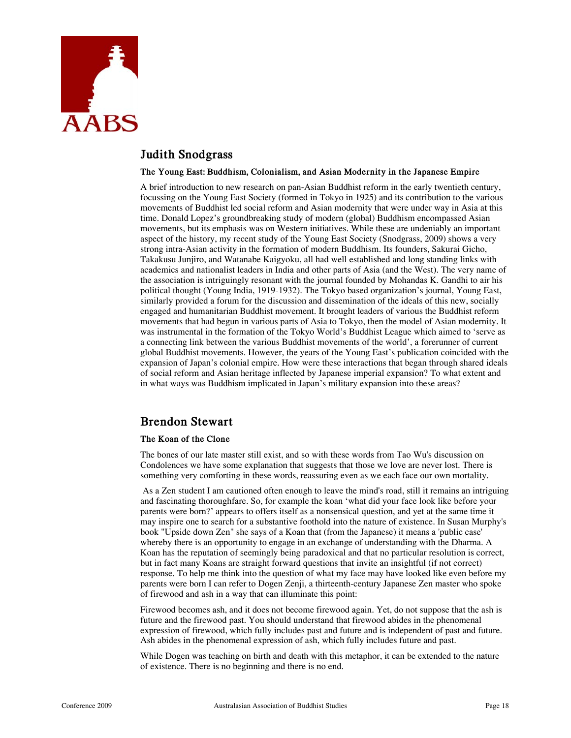

### **Judith Snodgrass**

#### **The Young East: Buddhism, Colonialism, and Asian Modernity in the Japanese Empire**

A brief introduction to new research on pan-Asian Buddhist reform in the early twentieth century, focussing on the Young East Society (formed in Tokyo in 1925) and its contribution to the various movements of Buddhist led social reform and Asian modernity that were under way in Asia at this time. Donald Lopez's groundbreaking study of modern (global) Buddhism encompassed Asian movements, but its emphasis was on Western initiatives. While these are undeniably an important aspect of the history, my recent study of the Young East Society (Snodgrass, 2009) shows a very strong intra-Asian activity in the formation of modern Buddhism. Its founders, Sakurai Gicho, Takakusu Junjiro, and Watanabe Kaigyoku, all had well established and long standing links with academics and nationalist leaders in India and other parts of Asia (and the West). The very name of the association is intriguingly resonant with the journal founded by Mohandas K. Gandhi to air his political thought (Young India, 1919-1932). The Tokyo based organization's journal, Young East, similarly provided a forum for the discussion and dissemination of the ideals of this new, socially engaged and humanitarian Buddhist movement. It brought leaders of various the Buddhist reform movements that had begun in various parts of Asia to Tokyo, then the model of Asian modernity. It was instrumental in the formation of the Tokyo World's Buddhist League which aimed to 'serve as a connecting link between the various Buddhist movements of the world', a forerunner of current global Buddhist movements. However, the years of the Young East's publication coincided with the expansion of Japan's colonial empire. How were these interactions that began through shared ideals of social reform and Asian heritage inflected by Japanese imperial expansion? To what extent and in what ways was Buddhism implicated in Japan's military expansion into these areas?

### **Brendon Stewart**

### **The Koan of the Clone**

The bones of our late master still exist, and so with these words from Tao Wu's discussion on Condolences we have some explanation that suggests that those we love are never lost. There is something very comforting in these words, reassuring even as we each face our own mortality.

 As a Zen student I am cautioned often enough to leave the mind's road, still it remains an intriguing and fascinating thoroughfare. So, for example the koan 'what did your face look like before your parents were born?' appears to offers itself as a nonsensical question, and yet at the same time it may inspire one to search for a substantive foothold into the nature of existence. In Susan Murphy's book "Upside down Zen" she says of a Koan that (from the Japanese) it means a 'public case' whereby there is an opportunity to engage in an exchange of understanding with the Dharma. A Koan has the reputation of seemingly being paradoxical and that no particular resolution is correct, but in fact many Koans are straight forward questions that invite an insightful (if not correct) response. To help me think into the question of what my face may have looked like even before my parents were born I can refer to Dogen Zenji, a thirteenth-century Japanese Zen master who spoke of firewood and ash in a way that can illuminate this point:

Firewood becomes ash, and it does not become firewood again. Yet, do not suppose that the ash is future and the firewood past. You should understand that firewood abides in the phenomenal expression of firewood, which fully includes past and future and is independent of past and future. Ash abides in the phenomenal expression of ash, which fully includes future and past.

While Dogen was teaching on birth and death with this metaphor, it can be extended to the nature of existence. There is no beginning and there is no end.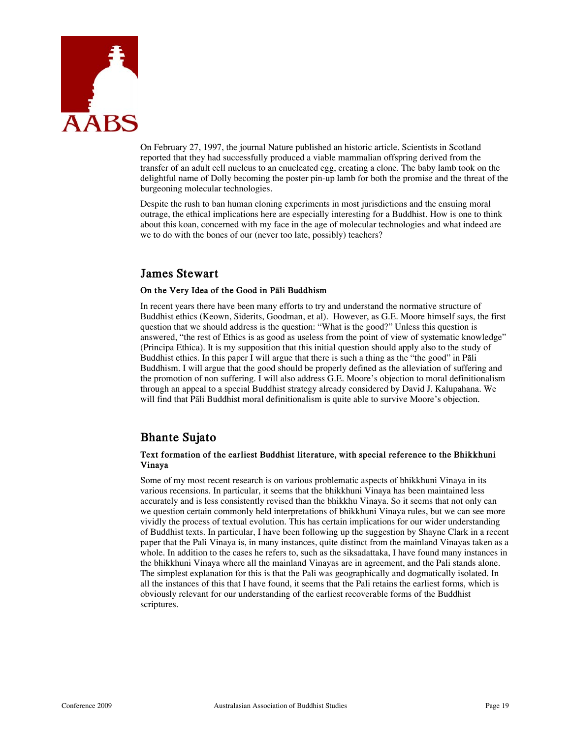

On February 27, 1997, the journal Nature published an historic article. Scientists in Scotland reported that they had successfully produced a viable mammalian offspring derived from the transfer of an adult cell nucleus to an enucleated egg, creating a clone. The baby lamb took on the delightful name of Dolly becoming the poster pin-up lamb for both the promise and the threat of the burgeoning molecular technologies.

Despite the rush to ban human cloning experiments in most jurisdictions and the ensuing moral outrage, the ethical implications here are especially interesting for a Buddhist. How is one to think about this koan, concerned with my face in the age of molecular technologies and what indeed are we to do with the bones of our (never too late, possibly) teachers?

### **James Stewart**

### **On the Very Idea of the Good in Pāli Buddhism**

In recent years there have been many efforts to try and understand the normative structure of Buddhist ethics (Keown, Siderits, Goodman, et al). However, as G.E. Moore himself says, the first question that we should address is the question: "What is the good?" Unless this question is answered, "the rest of Ethics is as good as useless from the point of view of systematic knowledge" (Principa Ethica). It is my supposition that this initial question should apply also to the study of Buddhist ethics. In this paper I will argue that there is such a thing as the "the good" in Pāli Buddhism. I will argue that the good should be properly defined as the alleviation of suffering and the promotion of non suffering. I will also address G.E. Moore's objection to moral definitionalism through an appeal to a special Buddhist strategy already considered by David J. Kalupahana. We will find that Pāli Buddhist moral definitionalism is quite able to survive Moore's objection.

### **Bhante Sujato**

### **Text formation of the earliest Buddhist literature, with special reference to the Bhikkhuni Vinaya**

Some of my most recent research is on various problematic aspects of bhikkhuni Vinaya in its various recensions. In particular, it seems that the bhikkhuni Vinaya has been maintained less accurately and is less consistently revised than the bhikkhu Vinaya. So it seems that not only can we question certain commonly held interpretations of bhikkhuni Vinaya rules, but we can see more vividly the process of textual evolution. This has certain implications for our wider understanding of Buddhist texts. In particular, I have been following up the suggestion by Shayne Clark in a recent paper that the Pali Vinaya is, in many instances, quite distinct from the mainland Vinayas taken as a whole. In addition to the cases he refers to, such as the siksadattaka, I have found many instances in the bhikkhuni Vinaya where all the mainland Vinayas are in agreement, and the Pali stands alone. The simplest explanation for this is that the Pali was geographically and dogmatically isolated. In all the instances of this that I have found, it seems that the Pali retains the earliest forms, which is obviously relevant for our understanding of the earliest recoverable forms of the Buddhist scriptures.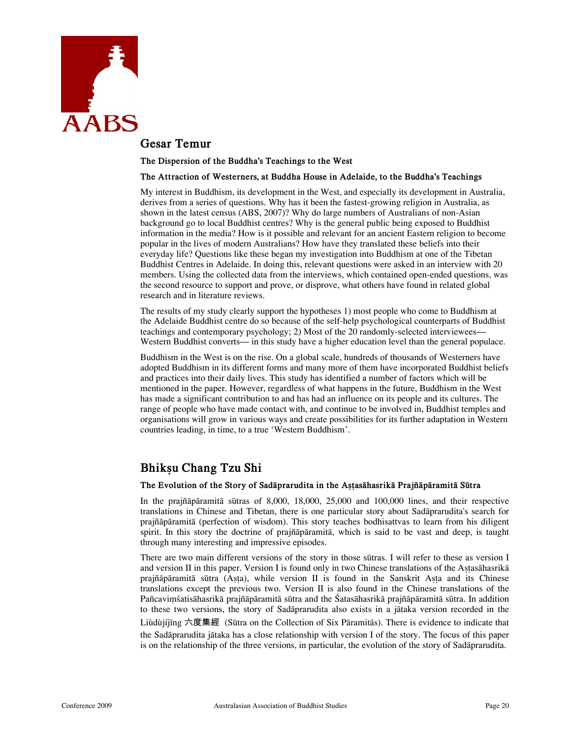

### **Gesar Temur**

**The Dispersion of the Buddha's Teachings to the West** 

#### **The Attraction of Westerners, at Buddha House in Adelaide, to the Buddha's Teachings**

My interest in Buddhism, its development in the West, and especially its development in Australia, derives from a series of questions. Why has it been the fastest-growing religion in Australia, as shown in the latest census (ABS, 2007)? Why do large numbers of Australians of non-Asian background go to local Buddhist centres? Why is the general public being exposed to Buddhist information in the media? How is it possible and relevant for an ancient Eastern religion to become popular in the lives of modern Australians? How have they translated these beliefs into their everyday life? Questions like these began my investigation into Buddhism at one of the Tibetan Buddhist Centres in Adelaide. In doing this, relevant questions were asked in an interview with 20 members. Using the collected data from the interviews, which contained open-ended questions, was the second resource to support and prove, or disprove, what others have found in related global research and in literature reviews.

The results of my study clearly support the hypotheses 1) most people who come to Buddhism at the Adelaide Buddhist centre do so because of the self-help psychological counterparts of Buddhist teachings and contemporary psychology; 2) Most of the 20 randomly-selected interviewees— Western Buddhist converts— in this study have a higher education level than the general populace.

Buddhism in the West is on the rise. On a global scale, hundreds of thousands of Westerners have adopted Buddhism in its different forms and many more of them have incorporated Buddhist beliefs and practices into their daily lives. This study has identified a number of factors which will be mentioned in the paper. However, regardless of what happens in the future, Buddhism in the West has made a significant contribution to and has had an influence on its people and its cultures. The range of people who have made contact with, and continue to be involved in, Buddhist temples and organisations will grow in various ways and create possibilities for its further adaptation in Western countries leading, in time, to a true 'Western Buddhism'.

### **Bhikṣu Chang Tzu Shi**

#### **The Evolution of the Story of Sadāprarudita in the Aṣṭasāhasrikā Prajñāpāramitā Sūtra**

In the prajñāpāramitā sūtras of 8,000, 18,000, 25,000 and 100,000 lines, and their respective translations in Chinese and Tibetan, there is one particular story about Sadāprarudita's search for prajñāpāramitā (perfection of wisdom). This story teaches bodhisattvas to learn from his diligent spirit. In this story the doctrine of prajñāpāramitā, which is said to be vast and deep, is taught through many interesting and impressive episodes.

There are two main different versions of the story in those sūtras. I will refer to these as version I and version II in this paper. Version I is found only in two Chinese translations of the Astasahasrika prajñāpāramitā sūtra (Aṣṭa), while version II is found in the Sanskrit Aṣṭa and its Chinese translations except the previous two. Version II is also found in the Chinese translations of the Pañcaviṃśatisāhasrikā prajñāpāramitā sūtra and the Śatasāhasrikā prajñāpāramitā sūtra. In addition to these two versions, the story of Sadāprarudita also exists in a jātaka version recorded in the

Liùdùjíjīng 六度集經 (Sūtra on the Collection of Six Pāramitās). There is evidence to indicate that the Sadāprarudita jātaka has a close relationship with version I of the story. The focus of this paper is on the relationship of the three versions, in particular, the evolution of the story of Sadāprarudita.